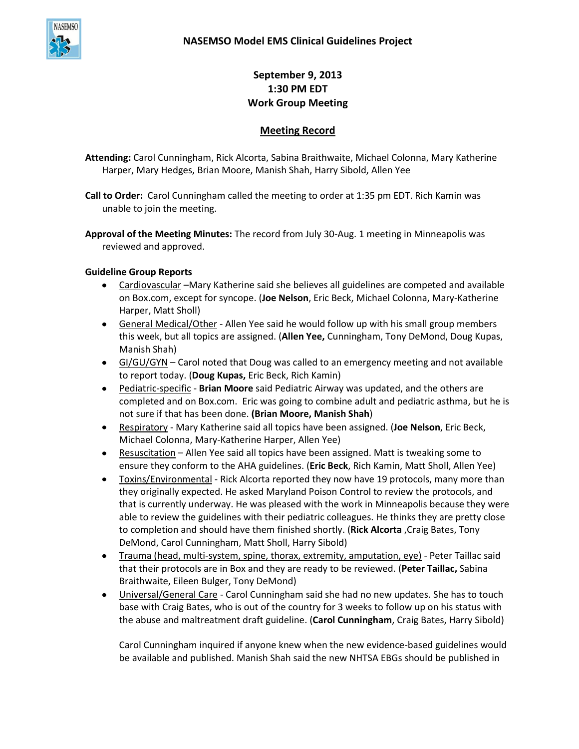

**September 9, 2013 1:30 PM EDT Work Group Meeting**

# **Meeting Record**

**Attending:** Carol Cunningham, Rick Alcorta, Sabina Braithwaite, Michael Colonna, Mary Katherine Harper, Mary Hedges, Brian Moore, Manish Shah, Harry Sibold, Allen Yee

- **Call to Order:** Carol Cunningham called the meeting to order at 1:35 pm EDT. Rich Kamin was unable to join the meeting.
- **Approval of the Meeting Minutes:** The record from July 30-Aug. 1 meeting in Minneapolis was reviewed and approved.

## **Guideline Group Reports**

- Cardiovascular –Mary Katherine said she believes all guidelines are competed and available on Box.com, except for syncope. (**Joe Nelson**, Eric Beck, Michael Colonna, Mary-Katherine Harper, Matt Sholl)
- General Medical/Other Allen Yee said he would follow up with his small group members this week, but all topics are assigned. (**Allen Yee,** Cunningham, Tony DeMond, Doug Kupas, Manish Shah)
- GI/GU/GYN Carol noted that Doug was called to an emergency meeting and not available to report today. (**Doug Kupas,** Eric Beck, Rich Kamin)
- Pediatric-specific **Brian Moore** said Pediatric Airway was updated, and the others are completed and on Box.com. Eric was going to combine adult and pediatric asthma, but he is not sure if that has been done. **(Brian Moore, Manish Shah**)
- Respiratory Mary Katherine said all topics have been assigned. (**Joe Nelson**, Eric Beck, Michael Colonna, Mary-Katherine Harper, Allen Yee)
- Resuscitation Allen Yee said all topics have been assigned. Matt is tweaking some to ensure they conform to the AHA guidelines. (**Eric Beck**, Rich Kamin, Matt Sholl, Allen Yee)
- Toxins/Environmental Rick Alcorta reported they now have 19 protocols, many more than  $\bullet$ they originally expected. He asked Maryland Poison Control to review the protocols, and that is currently underway. He was pleased with the work in Minneapolis because they were able to review the guidelines with their pediatric colleagues. He thinks they are pretty close to completion and should have them finished shortly. (**Rick Alcorta** ,Craig Bates, Tony DeMond, Carol Cunningham, Matt Sholl, Harry Sibold)
- Trauma (head, multi-system, spine, thorax, extremity, amputation, eye) Peter Taillac said that their protocols are in Box and they are ready to be reviewed. (**Peter Taillac,** Sabina Braithwaite, Eileen Bulger, Tony DeMond)
- Universal/General Care Carol Cunningham said she had no new updates. She has to touch base with Craig Bates, who is out of the country for 3 weeks to follow up on his status with the abuse and maltreatment draft guideline. (**Carol Cunningham**, Craig Bates, Harry Sibold)

Carol Cunningham inquired if anyone knew when the new evidence-based guidelines would be available and published. Manish Shah said the new NHTSA EBGs should be published in